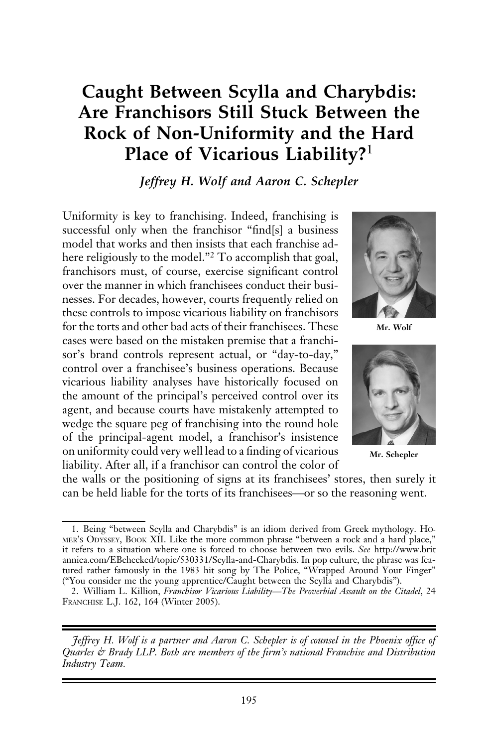# Caught Between Scylla and Charybdis: Are Franchisors Still Stuck Between the Rock of Non-Uniformity and the Hard Place of Vicarious Liability?<sup>1</sup>

Jeffrey H. Wolf and Aaron C. Schepler

Uniformity is key to franchising. Indeed, franchising is successful only when the franchisor "find[s] a business model that works and then insists that each franchise adhere religiously to the model."<sup>2</sup> To accomplish that goal, franchisors must, of course, exercise significant control over the manner in which franchisees conduct their businesses. For decades, however, courts frequently relied on these controls to impose vicarious liability on franchisors for the torts and other bad acts of their franchisees. These cases were based on the mistaken premise that a franchisor's brand controls represent actual, or "day-to-day," control over a franchisee's business operations. Because vicarious liability analyses have historically focused on the amount of the principal's perceived control over its agent, and because courts have mistakenly attempted to wedge the square peg of franchising into the round hole of the principal-agent model, a franchisor's insistence on uniformity could very well lead to a finding of vicarious liability. After all, if a franchisor can control the color of



Mr. Wolf



Mr. Schepler

the walls or the positioning of signs at its franchisees' stores, then surely it can be held liable for the torts of its franchisees—or so the reasoning went.

Jeffrey H. Wolf is a partner and Aaron C. Schepler is of counsel in the Phoenix office of Quarles & Brady LLP. Both are members of the firm's national Franchise and Distribution Industry Team.

<sup>1.</sup> Being "between Scylla and Charybdis" is an idiom derived from Greek mythology. HO-MER'S ODYSSEY, BOOK XII. Like the more common phrase "between a rock and a hard place," it refers to a situation where one is forced to choose between two evils. See http://www.brit annica.com/EBchecked/topic/530331/Scylla-and-Charybdis. In pop culture, the phrase was featured rather famously in the 1983 hit song by The Police, "Wrapped Around Your Finger" ("You consider me the young apprentice/Caught between the Scylla and Charybdis").

<sup>2.</sup> William L. Killion, Franchisor Vicarious Liability—The Proverbial Assault on the Citadel, 24 FRANCHISE L.J. 162, 164 (Winter 2005).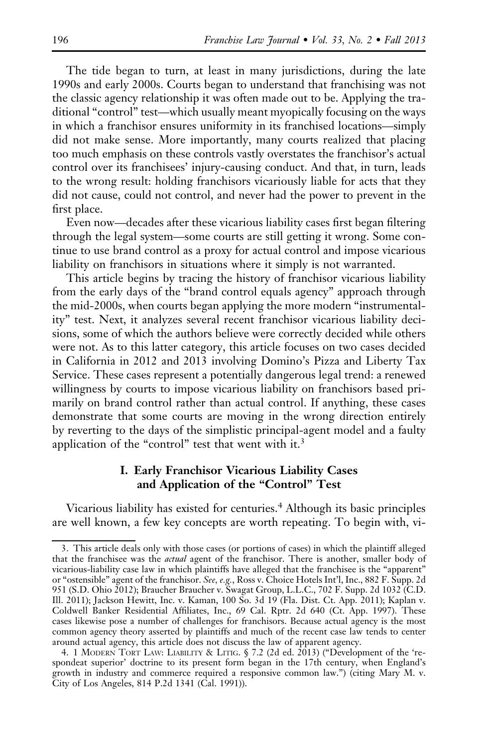The tide began to turn, at least in many jurisdictions, during the late 1990s and early 2000s. Courts began to understand that franchising was not the classic agency relationship it was often made out to be. Applying the traditional "control" test—which usually meant myopically focusing on the ways in which a franchisor ensures uniformity in its franchised locations—simply did not make sense. More importantly, many courts realized that placing too much emphasis on these controls vastly overstates the franchisor's actual control over its franchisees' injury-causing conduct. And that, in turn, leads to the wrong result: holding franchisors vicariously liable for acts that they did not cause, could not control, and never had the power to prevent in the first place.

Even now—decades after these vicarious liability cases first began filtering through the legal system—some courts are still getting it wrong. Some continue to use brand control as a proxy for actual control and impose vicarious liability on franchisors in situations where it simply is not warranted.

This article begins by tracing the history of franchisor vicarious liability from the early days of the "brand control equals agency" approach through the mid-2000s, when courts began applying the more modern "instrumentality" test. Next, it analyzes several recent franchisor vicarious liability decisions, some of which the authors believe were correctly decided while others were not. As to this latter category, this article focuses on two cases decided in California in 2012 and 2013 involving Domino's Pizza and Liberty Tax Service. These cases represent a potentially dangerous legal trend: a renewed willingness by courts to impose vicarious liability on franchisors based primarily on brand control rather than actual control. If anything, these cases demonstrate that some courts are moving in the wrong direction entirely by reverting to the days of the simplistic principal-agent model and a faulty application of the "control" test that went with it.<sup>3</sup>

# I. Early Franchisor Vicarious Liability Cases and Application of the "Control" Test

Vicarious liability has existed for centuries.<sup>4</sup> Although its basic principles are well known, a few key concepts are worth repeating. To begin with, vi-

<sup>3.</sup> This article deals only with those cases (or portions of cases) in which the plaintiff alleged that the franchisee was the *actual* agent of the franchisor. There is another, smaller body of vicarious-liability case law in which plaintiffs have alleged that the franchisee is the "apparent" or "ostensible" agent of the franchisor. See, e.g., Ross v. Choice Hotels Int'l, Inc., 882 F. Supp. 2d 951 (S.D. Ohio 2012); Braucher Braucher v. Swagat Group, L.L.C., 702 F. Supp. 2d 1032 (C.D. Ill. 2011); Jackson Hewitt, Inc. v. Kaman, 100 So. 3d 19 (Fla. Dist. Ct. App. 2011); Kaplan v. Coldwell Banker Residential Affiliates, Inc., 69 Cal. Rptr. 2d 640 (Ct. App. 1997). These cases likewise pose a number of challenges for franchisors. Because actual agency is the most common agency theory asserted by plaintiffs and much of the recent case law tends to center around actual agency, this article does not discuss the law of apparent agency.

<sup>4. 1</sup> MODERN TORT LAW: LIABILITY & LITIG. § 7.2 (2d ed. 2013) ("Development of the 'respondeat superior' doctrine to its present form began in the 17th century, when England's growth in industry and commerce required a responsive common law.") (citing Mary M. v. City of Los Angeles, 814 P.2d 1341 (Cal. 1991)).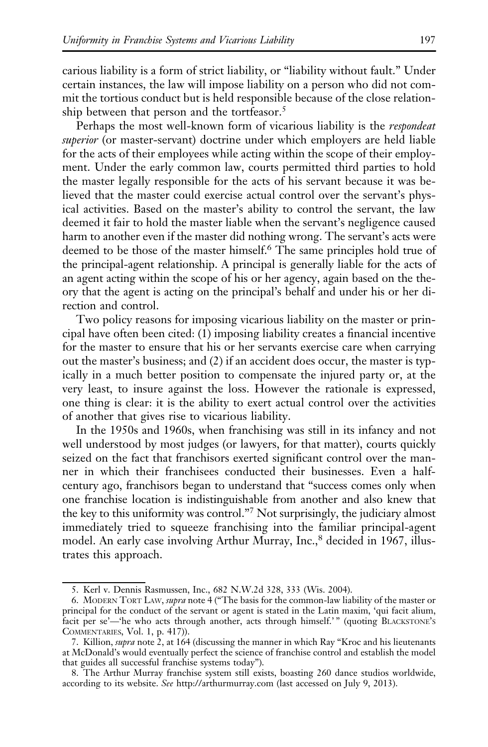carious liability is a form of strict liability, or "liability without fault." Under certain instances, the law will impose liability on a person who did not commit the tortious conduct but is held responsible because of the close relationship between that person and the tortfeasor.<sup>5</sup>

Perhaps the most well-known form of vicarious liability is the respondeat superior (or master-servant) doctrine under which employers are held liable for the acts of their employees while acting within the scope of their employment. Under the early common law, courts permitted third parties to hold the master legally responsible for the acts of his servant because it was believed that the master could exercise actual control over the servant's physical activities. Based on the master's ability to control the servant, the law deemed it fair to hold the master liable when the servant's negligence caused harm to another even if the master did nothing wrong. The servant's acts were deemed to be those of the master himself.<sup>6</sup> The same principles hold true of the principal-agent relationship. A principal is generally liable for the acts of an agent acting within the scope of his or her agency, again based on the theory that the agent is acting on the principal's behalf and under his or her direction and control.

Two policy reasons for imposing vicarious liability on the master or principal have often been cited: (1) imposing liability creates a financial incentive for the master to ensure that his or her servants exercise care when carrying out the master's business; and (2) if an accident does occur, the master is typically in a much better position to compensate the injured party or, at the very least, to insure against the loss. However the rationale is expressed, one thing is clear: it is the ability to exert actual control over the activities of another that gives rise to vicarious liability.

In the 1950s and 1960s, when franchising was still in its infancy and not well understood by most judges (or lawyers, for that matter), courts quickly seized on the fact that franchisors exerted significant control over the manner in which their franchisees conducted their businesses. Even a halfcentury ago, franchisors began to understand that "success comes only when one franchise location is indistinguishable from another and also knew that the key to this uniformity was control."7 Not surprisingly, the judiciary almost immediately tried to squeeze franchising into the familiar principal-agent model. An early case involving Arthur Murray, Inc.,<sup>8</sup> decided in 1967, illustrates this approach.

<sup>5.</sup> Kerl v. Dennis Rasmussen, Inc., 682 N.W.2d 328, 333 (Wis. 2004).

<sup>6.</sup> MODERN TORT LAW, supra note 4 ("The basis for the common-law liability of the master or principal for the conduct of the servant or agent is stated in the Latin maxim, 'qui facit alium, facit per se'—'he who acts through another, acts through himself.'" (quoting BLACKSTONE's COMMENTARIES, Vol. 1, p. 417)).

<sup>7.</sup> Killion, *supra* note 2, at 164 (discussing the manner in which Ray "Kroc and his lieutenants at McDonald's would eventually perfect the science of franchise control and establish the model that guides all successful franchise systems today").

<sup>8.</sup> The Arthur Murray franchise system still exists, boasting 260 dance studios worldwide, according to its website. See http://arthurmurray.com (last accessed on July 9, 2013).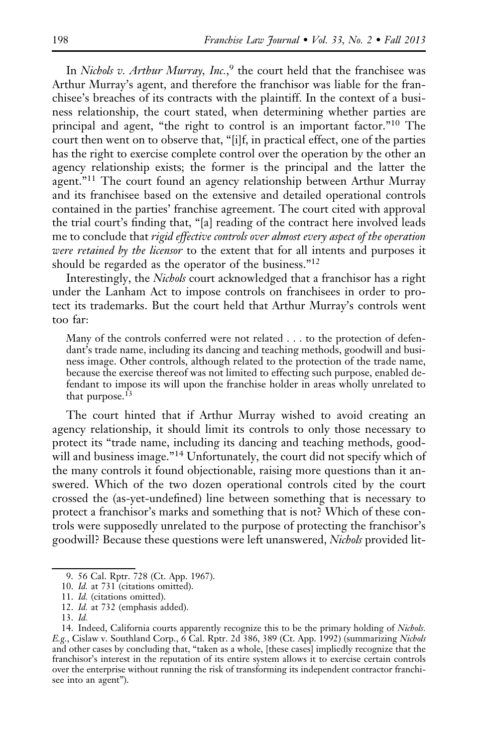In Nichols v. Arthur Murray, Inc.,<sup>9</sup> the court held that the franchisee was Arthur Murray's agent, and therefore the franchisor was liable for the franchisee's breaches of its contracts with the plaintiff. In the context of a business relationship, the court stated, when determining whether parties are principal and agent, "the right to control is an important factor."10 The court then went on to observe that, "[i]f, in practical effect, one of the parties has the right to exercise complete control over the operation by the other an agency relationship exists; the former is the principal and the latter the agent."<sup>11</sup> The court found an agency relationship between Arthur Murray and its franchisee based on the extensive and detailed operational controls contained in the parties' franchise agreement. The court cited with approval the trial court's finding that, "[a] reading of the contract here involved leads me to conclude that rigid effective controls over almost every aspect of the operation were retained by the licensor to the extent that for all intents and purposes it should be regarded as the operator of the business."12

Interestingly, the Nichols court acknowledged that a franchisor has a right under the Lanham Act to impose controls on franchisees in order to protect its trademarks. But the court held that Arthur Murray's controls went too far:

Many of the controls conferred were not related . . . to the protection of defendant's trade name, including its dancing and teaching methods, goodwill and business image. Other controls, although related to the protection of the trade name, because the exercise thereof was not limited to effecting such purpose, enabled defendant to impose its will upon the franchise holder in areas wholly unrelated to that purpose.<sup>13</sup>

The court hinted that if Arthur Murray wished to avoid creating an agency relationship, it should limit its controls to only those necessary to protect its "trade name, including its dancing and teaching methods, goodwill and business image."<sup>14</sup> Unfortunately, the court did not specify which of the many controls it found objectionable, raising more questions than it answered. Which of the two dozen operational controls cited by the court crossed the (as-yet-undefined) line between something that is necessary to protect a franchisor's marks and something that is not? Which of these controls were supposedly unrelated to the purpose of protecting the franchisor's goodwill? Because these questions were left unanswered, *Nichols* provided lit-

<sup>9. 56</sup> Cal. Rptr. 728 (Ct. App. 1967).

<sup>10.</sup> Id. at 731 (citations omitted).

<sup>11.</sup> Id. (citations omitted).

<sup>12.</sup> Id. at 732 (emphasis added).

<sup>13.</sup> Id.

<sup>14.</sup> Indeed, California courts apparently recognize this to be the primary holding of Nichols. E.g., Cislaw v. Southland Corp., 6 Cal. Rptr. 2d 386, 389 (Ct. App. 1992) (summarizing Nichols and other cases by concluding that, "taken as a whole, [these cases] impliedly recognize that the franchisor's interest in the reputation of its entire system allows it to exercise certain controls over the enterprise without running the risk of transforming its independent contractor franchisee into an agent").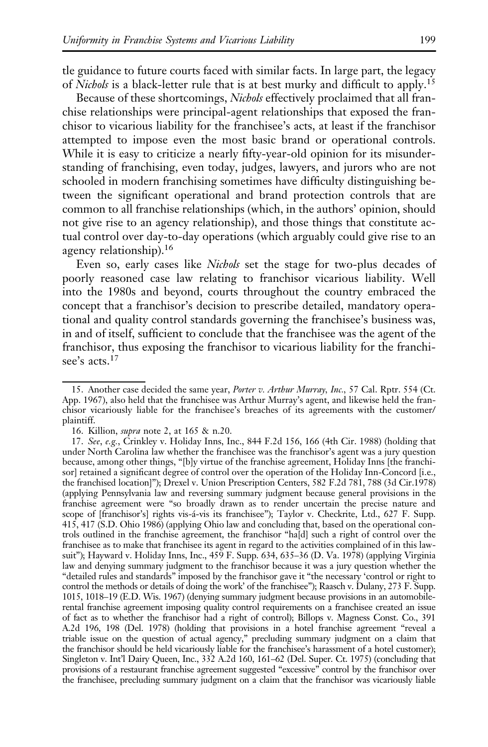tle guidance to future courts faced with similar facts. In large part, the legacy of Nichols is a black-letter rule that is at best murky and difficult to apply.<sup>15</sup>

Because of these shortcomings, Nichols effectively proclaimed that all franchise relationships were principal-agent relationships that exposed the franchisor to vicarious liability for the franchisee's acts, at least if the franchisor attempted to impose even the most basic brand or operational controls. While it is easy to criticize a nearly fifty-year-old opinion for its misunderstanding of franchising, even today, judges, lawyers, and jurors who are not schooled in modern franchising sometimes have difficulty distinguishing between the significant operational and brand protection controls that are common to all franchise relationships (which, in the authors' opinion, should not give rise to an agency relationship), and those things that constitute actual control over day-to-day operations (which arguably could give rise to an agency relationship).<sup>16</sup>

Even so, early cases like *Nichols* set the stage for two-plus decades of poorly reasoned case law relating to franchisor vicarious liability. Well into the 1980s and beyond, courts throughout the country embraced the concept that a franchisor's decision to prescribe detailed, mandatory operational and quality control standards governing the franchisee's business was, in and of itself, sufficient to conclude that the franchisee was the agent of the franchisor, thus exposing the franchisor to vicarious liability for the franchisee's acts.<sup>17</sup>

<sup>15.</sup> Another case decided the same year, Porter v. Arthur Murray, Inc., 57 Cal. Rptr. 554 (Ct. App. 1967), also held that the franchisee was Arthur Murray's agent, and likewise held the franchisor vicariously liable for the franchisee's breaches of its agreements with the customer/ plaintiff.

<sup>16.</sup> Killion, supra note 2, at 165 & n.20.

<sup>17.</sup> See, e.g., Crinkley v. Holiday Inns, Inc., 844 F.2d 156, 166 (4th Cir. 1988) (holding that under North Carolina law whether the franchisee was the franchisor's agent was a jury question because, among other things, "[b]y virtue of the franchise agreement, Holiday Inns [the franchisor] retained a significant degree of control over the operation of the Holiday Inn-Concord [i.e., the franchised location]"); Drexel v. Union Prescription Centers, 582 F.2d 781, 788 (3d Cir.1978) (applying Pennsylvania law and reversing summary judgment because general provisions in the franchise agreement were "so broadly drawn as to render uncertain the precise nature and scope of [franchisor's] rights vis-á-vis its franchisee"); Taylor v. Checkrite, Ltd., 627 F. Supp. 415, 417 (S.D. Ohio 1986) (applying Ohio law and concluding that, based on the operational controls outlined in the franchise agreement, the franchisor "ha[d] such a right of control over the franchisee as to make that franchisee its agent in regard to the activities complained of in this lawsuit"); Hayward v. Holiday Inns, Inc., 459 F. Supp. 634, 635–36 (D. Va. 1978) (applying Virginia law and denying summary judgment to the franchisor because it was a jury question whether the "detailed rules and standards" imposed by the franchisor gave it "the necessary 'control or right to control the methods or details of doing the work' of the franchisee"); Raasch v. Dulany, 273 F. Supp. 1015, 1018–19 (E.D. Wis. 1967) (denying summary judgment because provisions in an automobilerental franchise agreement imposing quality control requirements on a franchisee created an issue of fact as to whether the franchisor had a right of control); Billops v. Magness Const. Co., 391 A.2d 196, 198 (Del. 1978) (holding that provisions in a hotel franchise agreement "reveal a triable issue on the question of actual agency," precluding summary judgment on a claim that the franchisor should be held vicariously liable for the franchisee's harassment of a hotel customer); Singleton v. Int'l Dairy Queen, Inc., 332 A.2d 160, 161–62 (Del. Super. Ct. 1975) (concluding that provisions of a restaurant franchise agreement suggested "excessive" control by the franchisor over the franchisee, precluding summary judgment on a claim that the franchisor was vicariously liable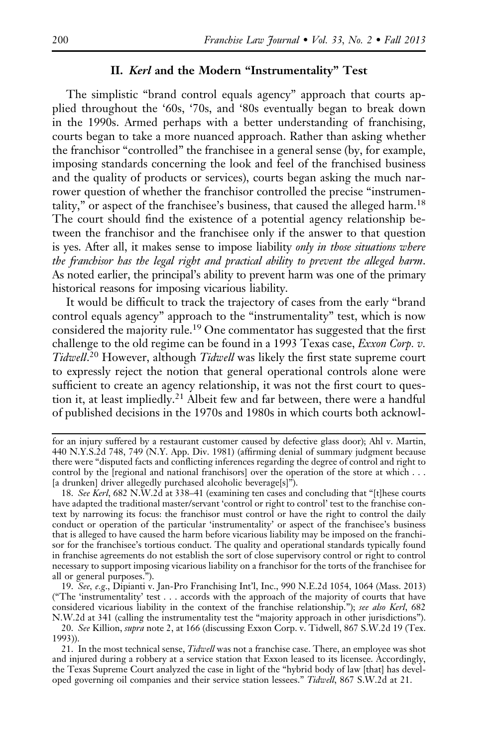## II. Kerl and the Modern "Instrumentality" Test

The simplistic "brand control equals agency" approach that courts applied throughout the '60s, '70s, and '80s eventually began to break down in the 1990s. Armed perhaps with a better understanding of franchising, courts began to take a more nuanced approach. Rather than asking whether the franchisor "controlled" the franchisee in a general sense (by, for example, imposing standards concerning the look and feel of the franchised business and the quality of products or services), courts began asking the much narrower question of whether the franchisor controlled the precise "instrumentality," or aspect of the franchisee's business, that caused the alleged harm.<sup>18</sup> The court should find the existence of a potential agency relationship between the franchisor and the franchisee only if the answer to that question is yes. After all, it makes sense to impose liability only in those situations where the franchisor has the legal right and practical ability to prevent the alleged harm. As noted earlier, the principal's ability to prevent harm was one of the primary historical reasons for imposing vicarious liability.

It would be difficult to track the trajectory of cases from the early "brand control equals agency" approach to the "instrumentality" test, which is now considered the majority rule.<sup>19</sup> One commentator has suggested that the first challenge to the old regime can be found in a 1993 Texas case, Exxon Corp. v. Tidwell.<sup>20</sup> However, although Tidwell was likely the first state supreme court to expressly reject the notion that general operational controls alone were sufficient to create an agency relationship, it was not the first court to question it, at least impliedly.<sup>21</sup> Albeit few and far between, there were a handful of published decisions in the 1970s and 1980s in which courts both acknowl-

19. See, e.g., Dipianti v. Jan-Pro Franchising Int'l, Inc., 990 N.E.2d 1054, 1064 (Mass. 2013) ("The 'instrumentality' test . . . accords with the approach of the majority of courts that have considered vicarious liability in the context of the franchise relationship."); see also Kerl, 682 N.W.2d at 341 (calling the instrumentality test the "majority approach in other jurisdictions").

for an injury suffered by a restaurant customer caused by defective glass door); Ahl v. Martin, 440 N.Y.S.2d 748, 749 (N.Y. App. Div. 1981) (affirming denial of summary judgment because there were "disputed facts and conflicting inferences regarding the degree of control and right to control by the [regional and national franchisors] over the operation of the store at which . . . [a drunken] driver allegedly purchased alcoholic beverage[s]").

<sup>18.</sup> See Kerl, 682 N.W.2d at 338-41 (examining ten cases and concluding that "[t]hese courts have adapted the traditional master/servant 'control or right to control' test to the franchise context by narrowing its focus: the franchisor must control or have the right to control the daily conduct or operation of the particular 'instrumentality' or aspect of the franchisee's business that is alleged to have caused the harm before vicarious liability may be imposed on the franchisor for the franchisee's tortious conduct. The quality and operational standards typically found in franchise agreements do not establish the sort of close supervisory control or right to control necessary to support imposing vicarious liability on a franchisor for the torts of the franchisee for all or general purposes.").

<sup>20.</sup> See Killion, supra note 2, at 166 (discussing Exxon Corp. v. Tidwell, 867 S.W.2d 19 (Tex. 1993)).

<sup>21.</sup> In the most technical sense, Tidwell was not a franchise case. There, an employee was shot and injured during a robbery at a service station that Exxon leased to its licensee. Accordingly, the Texas Supreme Court analyzed the case in light of the "hybrid body of law [that] has developed governing oil companies and their service station lessees." Tidwell, 867 S.W.2d at 21.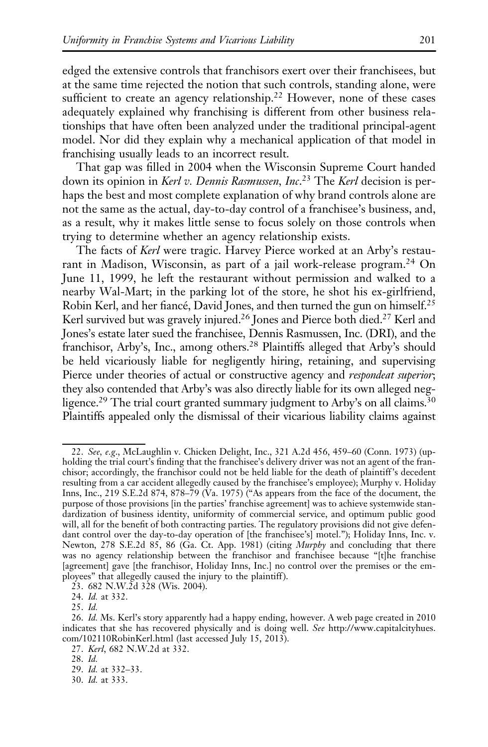edged the extensive controls that franchisors exert over their franchisees, but at the same time rejected the notion that such controls, standing alone, were sufficient to create an agency relationship.<sup>22</sup> However, none of these cases adequately explained why franchising is different from other business relationships that have often been analyzed under the traditional principal-agent model. Nor did they explain why a mechanical application of that model in franchising usually leads to an incorrect result.

That gap was filled in 2004 when the Wisconsin Supreme Court handed down its opinion in Kerl v. Dennis Rasmussen, Inc.<sup>23</sup> The Kerl decision is perhaps the best and most complete explanation of why brand controls alone are not the same as the actual, day-to-day control of a franchisee's business, and, as a result, why it makes little sense to focus solely on those controls when trying to determine whether an agency relationship exists.

The facts of *Kerl* were tragic. Harvey Pierce worked at an Arby's restaurant in Madison, Wisconsin, as part of a jail work-release program.<sup>24</sup> On June 11, 1999, he left the restaurant without permission and walked to a nearby Wal-Mart; in the parking lot of the store, he shot his ex-girlfriend, Robin Kerl, and her fiancé, David Jones, and then turned the gun on himself.<sup>25</sup> Kerl survived but was gravely injured.<sup>26</sup> Jones and Pierce both died.<sup>27</sup> Kerl and Jones's estate later sued the franchisee, Dennis Rasmussen, Inc. (DRI), and the franchisor, Arby's, Inc., among others.28 Plaintiffs alleged that Arby's should be held vicariously liable for negligently hiring, retaining, and supervising Pierce under theories of actual or constructive agency and *respondeat superior*; they also contended that Arby's was also directly liable for its own alleged negligence.<sup>29</sup> The trial court granted summary judgment to Arby's on all claims.<sup>30</sup> Plaintiffs appealed only the dismissal of their vicarious liability claims against

23. 682 N.W.2d 328 (Wis. 2004).

24. Id. at 332.

25. Id.

<sup>22.</sup> See, e.g., McLaughlin v. Chicken Delight, Inc., 321 A.2d 456, 459–60 (Conn. 1973) (upholding the trial court's finding that the franchisee's delivery driver was not an agent of the franchisor; accordingly, the franchisor could not be held liable for the death of plaintiff's decedent resulting from a car accident allegedly caused by the franchisee's employee); Murphy v. Holiday Inns, Inc., 219 S.E.2d 874, 878–79 (Va. 1975) ("As appears from the face of the document, the purpose of those provisions [in the parties' franchise agreement] was to achieve systemwide standardization of business identity, uniformity of commercial service, and optimum public good will, all for the benefit of both contracting parties. The regulatory provisions did not give defendant control over the day-to-day operation of [the franchisee's] motel."); Holiday Inns, Inc. v. Newton, 278 S.E.2d 85, 86 (Ga. Ct. App. 1981) (citing *Murphy* and concluding that there was no agency relationship between the franchisor and franchisee because "[t]he franchise [agreement] gave [the franchisor, Holiday Inns, Inc.] no control over the premises or the employees" that allegedly caused the injury to the plaintiff).

<sup>26.</sup> Id. Ms. Kerl's story apparently had a happy ending, however. A web page created in 2010 indicates that she has recovered physically and is doing well. See http://www.capitalcityhues. com/102110RobinKerl.html (last accessed July 15, 2013).

<sup>27.</sup> Kerl, 682 N.W.2d at 332.

<sup>28.</sup> Id.

<sup>29.</sup> Id. at 332–33.

<sup>30.</sup> Id. at 333.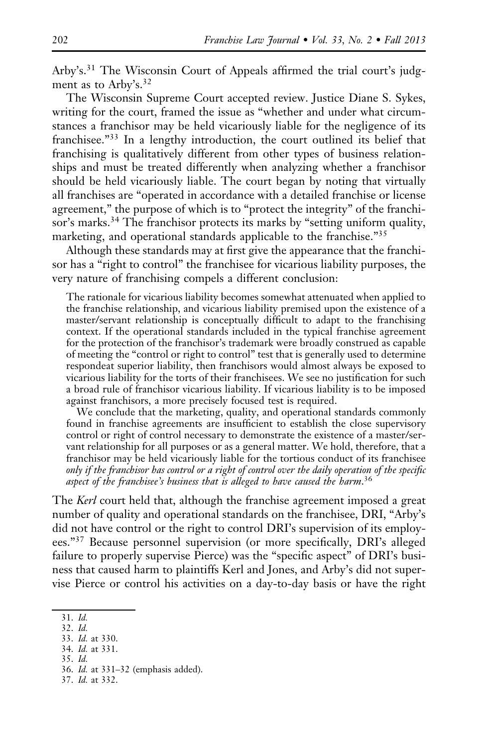Arby's.<sup>31</sup> The Wisconsin Court of Appeals affirmed the trial court's judgment as to Arby's.<sup>32</sup>

The Wisconsin Supreme Court accepted review. Justice Diane S. Sykes, writing for the court, framed the issue as "whether and under what circumstances a franchisor may be held vicariously liable for the negligence of its franchisee."<sup>33</sup> In a lengthy introduction, the court outlined its belief that franchising is qualitatively different from other types of business relationships and must be treated differently when analyzing whether a franchisor should be held vicariously liable. The court began by noting that virtually all franchises are "operated in accordance with a detailed franchise or license agreement," the purpose of which is to "protect the integrity" of the franchisor's marks.<sup>34</sup> The franchisor protects its marks by "setting uniform quality, marketing, and operational standards applicable to the franchise."<sup>35</sup>

Although these standards may at first give the appearance that the franchisor has a "right to control" the franchisee for vicarious liability purposes, the very nature of franchising compels a different conclusion:

The rationale for vicarious liability becomes somewhat attenuated when applied to the franchise relationship, and vicarious liability premised upon the existence of a master/servant relationship is conceptually difficult to adapt to the franchising context. If the operational standards included in the typical franchise agreement for the protection of the franchisor's trademark were broadly construed as capable of meeting the "control or right to control" test that is generally used to determine respondeat superior liability, then franchisors would almost always be exposed to vicarious liability for the torts of their franchisees. We see no justification for such a broad rule of franchisor vicarious liability. If vicarious liability is to be imposed against franchisors, a more precisely focused test is required.

We conclude that the marketing, quality, and operational standards commonly found in franchise agreements are insufficient to establish the close supervisory control or right of control necessary to demonstrate the existence of a master/servant relationship for all purposes or as a general matter. We hold, therefore, that a franchisor may be held vicariously liable for the tortious conduct of its franchisee only if the franchisor has control or a right of control over the daily operation of the specific aspect of the franchisee's business that is alleged to have caused the harm.<sup>36</sup>

The Kerl court held that, although the franchise agreement imposed a great number of quality and operational standards on the franchisee, DRI, "Arby's did not have control or the right to control DRI's supervision of its employees."<sup>37</sup> Because personnel supervision (or more specifically, DRI's alleged failure to properly supervise Pierce) was the "specific aspect" of DRI's business that caused harm to plaintiffs Kerl and Jones, and Arby's did not supervise Pierce or control his activities on a day-to-day basis or have the right

- 35. Id.
- 36. Id. at 331–32 (emphasis added).
- 37. Id. at 332.

<sup>31.</sup> Id.

<sup>32.</sup> Id.

<sup>33.</sup> Id. at 330.

<sup>34.</sup> Id. at 331.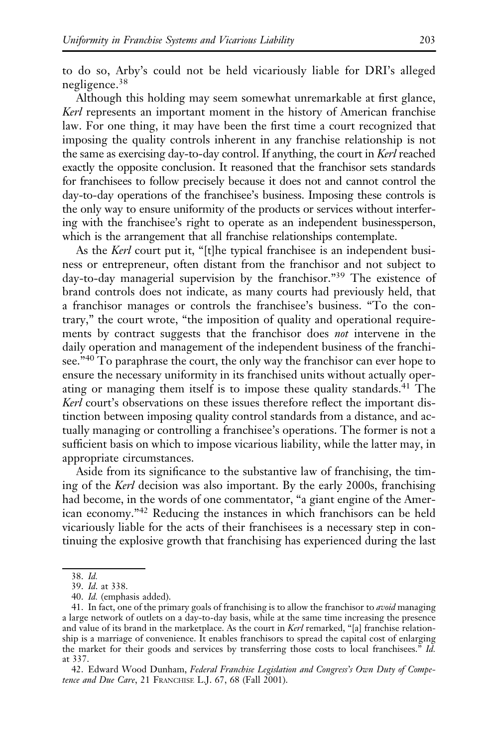to do so, Arby's could not be held vicariously liable for DRI's alleged negligence.<sup>38</sup>

Although this holding may seem somewhat unremarkable at first glance, Kerl represents an important moment in the history of American franchise law. For one thing, it may have been the first time a court recognized that imposing the quality controls inherent in any franchise relationship is not the same as exercising day-to-day control. If anything, the court in Kerl reached exactly the opposite conclusion. It reasoned that the franchisor sets standards for franchisees to follow precisely because it does not and cannot control the day-to-day operations of the franchisee's business. Imposing these controls is the only way to ensure uniformity of the products or services without interfering with the franchisee's right to operate as an independent businessperson, which is the arrangement that all franchise relationships contemplate.

As the Kerl court put it, "[t]he typical franchisee is an independent business or entrepreneur, often distant from the franchisor and not subject to day-to-day managerial supervision by the franchisor."<sup>39</sup> The existence of brand controls does not indicate, as many courts had previously held, that a franchisor manages or controls the franchisee's business. "To the contrary," the court wrote, "the imposition of quality and operational requirements by contract suggests that the franchisor does not intervene in the daily operation and management of the independent business of the franchisee."<sup>40</sup> To paraphrase the court, the only way the franchisor can ever hope to ensure the necessary uniformity in its franchised units without actually operating or managing them itself is to impose these quality standards.<sup>41</sup> The Kerl court's observations on these issues therefore reflect the important distinction between imposing quality control standards from a distance, and actually managing or controlling a franchisee's operations. The former is not a sufficient basis on which to impose vicarious liability, while the latter may, in appropriate circumstances.

Aside from its significance to the substantive law of franchising, the timing of the Kerl decision was also important. By the early 2000s, franchising had become, in the words of one commentator, "a giant engine of the American economy."<sup>42</sup> Reducing the instances in which franchisors can be held vicariously liable for the acts of their franchisees is a necessary step in continuing the explosive growth that franchising has experienced during the last

42. Edward Wood Dunham, Federal Franchise Legislation and Congress's Own Duty of Competence and Due Care, 21 FRANCHISE L.J. 67, 68 (Fall 2001).

<sup>38.</sup> Id.

<sup>39.</sup> Id. at 338.

<sup>40.</sup> Id. (emphasis added).

<sup>41.</sup> In fact, one of the primary goals of franchising is to allow the franchisor to avoid managing a large network of outlets on a day-to-day basis, while at the same time increasing the presence and value of its brand in the marketplace. As the court in  $Kerl$  remarked, "[a] franchise relationship is a marriage of convenience. It enables franchisors to spread the capital cost of enlarging the market for their goods and services by transferring those costs to local franchisees." Id. at 337.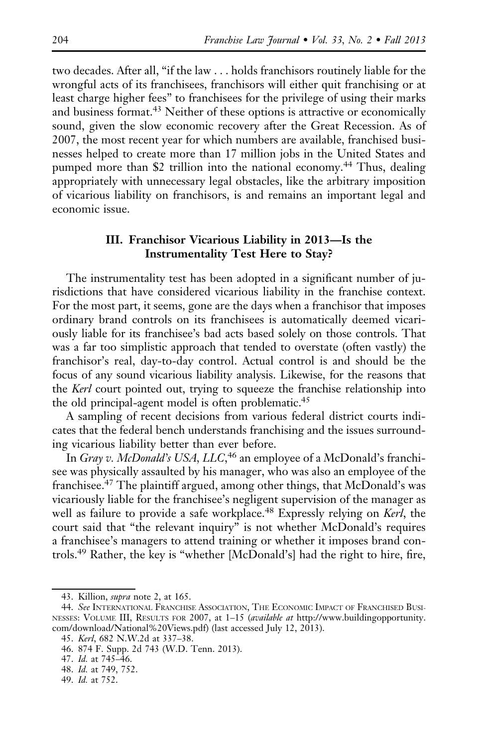two decades. After all, "if the law . . . holds franchisors routinely liable for the wrongful acts of its franchisees, franchisors will either quit franchising or at least charge higher fees" to franchisees for the privilege of using their marks and business format.<sup>43</sup> Neither of these options is attractive or economically sound, given the slow economic recovery after the Great Recession. As of 2007, the most recent year for which numbers are available, franchised businesses helped to create more than 17 million jobs in the United States and pumped more than \$2 trillion into the national economy.<sup>44</sup> Thus, dealing appropriately with unnecessary legal obstacles, like the arbitrary imposition of vicarious liability on franchisors, is and remains an important legal and economic issue.

# III. Franchisor Vicarious Liability in 2013—Is the Instrumentality Test Here to Stay?

The instrumentality test has been adopted in a significant number of jurisdictions that have considered vicarious liability in the franchise context. For the most part, it seems, gone are the days when a franchisor that imposes ordinary brand controls on its franchisees is automatically deemed vicariously liable for its franchisee's bad acts based solely on those controls. That was a far too simplistic approach that tended to overstate (often vastly) the franchisor's real, day-to-day control. Actual control is and should be the focus of any sound vicarious liability analysis. Likewise, for the reasons that the Kerl court pointed out, trying to squeeze the franchise relationship into the old principal-agent model is often problematic.<sup>45</sup>

A sampling of recent decisions from various federal district courts indicates that the federal bench understands franchising and the issues surrounding vicarious liability better than ever before.

In Gray v. McDonald's USA, LLC,<sup>46</sup> an employee of a McDonald's franchisee was physically assaulted by his manager, who was also an employee of the franchisee.<sup>47</sup> The plaintiff argued, among other things, that McDonald's was vicariously liable for the franchisee's negligent supervision of the manager as well as failure to provide a safe workplace.<sup>48</sup> Expressly relying on Kerl, the court said that "the relevant inquiry" is not whether McDonald's requires a franchisee's managers to attend training or whether it imposes brand controls.<sup>49</sup> Rather, the key is "whether [McDonald's] had the right to hire, fire,

<sup>43.</sup> Killion, supra note 2, at 165.

<sup>44.</sup> See INTERNATIONAL FRANCHISE ASSOCIATION, THE ECONOMIC IMPACT OF FRANCHISED BUSI-NESSES: VOLUME III, RESULTS FOR 2007, at 1–15 (available at http://www.buildingopportunity. com/download/National%20Views.pdf) (last accessed July 12, 2013).

<sup>45.</sup> Kerl, 682 N.W.2d at 337–38.

<sup>46. 874</sup> F. Supp. 2d 743 (W.D. Tenn. 2013).

<sup>47.</sup> Id. at 745–46.

<sup>48.</sup> Id. at 749, 752.

<sup>49.</sup> Id. at 752.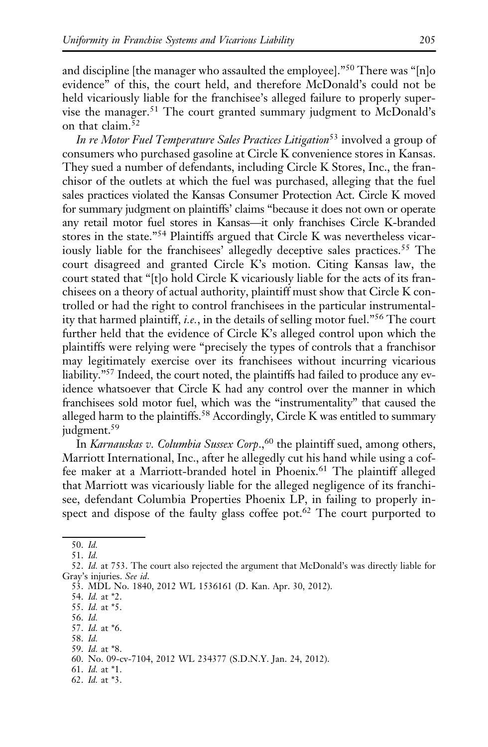and discipline [the manager who assaulted the employee]."<sup>50</sup> There was "[n]o evidence" of this, the court held, and therefore McDonald's could not be held vicariously liable for the franchisee's alleged failure to properly supervise the manager.<sup>51</sup> The court granted summary judgment to McDonald's on that claim.<sup>52</sup>

In re Motor Fuel Temperature Sales Practices Litigation<sup>53</sup> involved a group of consumers who purchased gasoline at Circle K convenience stores in Kansas. They sued a number of defendants, including Circle K Stores, Inc., the franchisor of the outlets at which the fuel was purchased, alleging that the fuel sales practices violated the Kansas Consumer Protection Act. Circle K moved for summary judgment on plaintiffs' claims "because it does not own or operate any retail motor fuel stores in Kansas—it only franchises Circle K-branded stores in the state."<sup>54</sup> Plaintiffs argued that Circle K was nevertheless vicariously liable for the franchisees' allegedly deceptive sales practices.<sup>55</sup> The court disagreed and granted Circle K's motion. Citing Kansas law, the court stated that "[t]o hold Circle K vicariously liable for the acts of its franchisees on a theory of actual authority, plaintiff must show that Circle K controlled or had the right to control franchisees in the particular instrumentality that harmed plaintiff, *i.e.*, in the details of selling motor fuel.<sup>"56</sup> The court further held that the evidence of Circle K's alleged control upon which the plaintiffs were relying were "precisely the types of controls that a franchisor may legitimately exercise over its franchisees without incurring vicarious liability."57 Indeed, the court noted, the plaintiffs had failed to produce any evidence whatsoever that Circle K had any control over the manner in which franchisees sold motor fuel, which was the "instrumentality" that caused the alleged harm to the plaintiffs.<sup>58</sup> Accordingly, Circle K was entitled to summary judgment.<sup>59</sup>

In Karnauskas v. Columbia Sussex Corp.,<sup>60</sup> the plaintiff sued, among others, Marriott International, Inc., after he allegedly cut his hand while using a coffee maker at a Marriott-branded hotel in Phoenix.<sup>61</sup> The plaintiff alleged that Marriott was vicariously liable for the alleged negligence of its franchisee, defendant Columbia Properties Phoenix LP, in failing to properly inspect and dispose of the faulty glass coffee pot.<sup>62</sup> The court purported to

<sup>50.</sup> Id.

<sup>51.</sup> Id.

<sup>52.</sup> Id. at 753. The court also rejected the argument that McDonald's was directly liable for Gray's injuries. See id.

<sup>53.</sup> MDL No. 1840, 2012 WL 1536161 (D. Kan. Apr. 30, 2012).

<sup>54.</sup> Id. at \*2.

<sup>55.</sup> Id. at \*5.

<sup>56.</sup> Id.

<sup>57.</sup> Id. at \*6.

<sup>58.</sup> Id.

<sup>59.</sup> Id. at \*8.

<sup>60.</sup> No. 09-cv-7104, 2012 WL 234377 (S.D.N.Y. Jan. 24, 2012).

<sup>61.</sup> Id. at \*1.

<sup>62.</sup> Id. at \*3.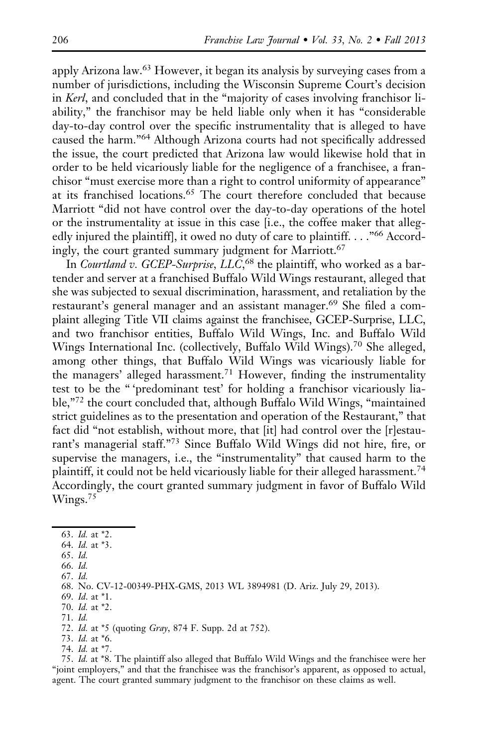apply Arizona law.63 However, it began its analysis by surveying cases from a number of jurisdictions, including the Wisconsin Supreme Court's decision in Kerl, and concluded that in the "majority of cases involving franchisor liability," the franchisor may be held liable only when it has "considerable day-to-day control over the specific instrumentality that is alleged to have caused the harm."<sup>64</sup> Although Arizona courts had not specifically addressed the issue, the court predicted that Arizona law would likewise hold that in order to be held vicariously liable for the negligence of a franchisee, a franchisor "must exercise more than a right to control uniformity of appearance" at its franchised locations.<sup>65</sup> The court therefore concluded that because Marriott "did not have control over the day-to-day operations of the hotel or the instrumentality at issue in this case [i.e., the coffee maker that allegedly injured the plaintiff], it owed no duty of care to plaintiff. . . ."<sup>66</sup> Accordingly, the court granted summary judgment for Marriott.<sup>67</sup>

In Courtland v. GCEP-Surprise, LLC,<sup>68</sup> the plaintiff, who worked as a bartender and server at a franchised Buffalo Wild Wings restaurant, alleged that she was subjected to sexual discrimination, harassment, and retaliation by the restaurant's general manager and an assistant manager.<sup>69</sup> She filed a complaint alleging Title VII claims against the franchisee, GCEP-Surprise, LLC, and two franchisor entities, Buffalo Wild Wings, Inc. and Buffalo Wild Wings International Inc. (collectively, Buffalo Wild Wings).<sup>70</sup> She alleged, among other things, that Buffalo Wild Wings was vicariously liable for the managers' alleged harassment.<sup>71</sup> However, finding the instrumentality test to be the " 'predominant test' for holding a franchisor vicariously liable,"<sup>72</sup> the court concluded that, although Buffalo Wild Wings, "maintained strict guidelines as to the presentation and operation of the Restaurant," that fact did "not establish, without more, that [it] had control over the [r]estaurant's managerial staff."<sup>73</sup> Since Buffalo Wild Wings did not hire, fire, or supervise the managers, i.e., the "instrumentality" that caused harm to the plaintiff, it could not be held vicariously liable for their alleged harassment.<sup>74</sup> Accordingly, the court granted summary judgment in favor of Buffalo Wild Wings.<sup>75</sup>

66. Id.

75. Id. at \*8. The plaintiff also alleged that Buffalo Wild Wings and the franchisee were her "joint employers," and that the franchisee was the franchisor's apparent, as opposed to actual, agent. The court granted summary judgment to the franchisor on these claims as well.

<sup>63.</sup> Id. at \*2.

<sup>64.</sup> Id. at \*3.

<sup>65.</sup> Id.

<sup>67.</sup> Id.

<sup>68.</sup> No. CV-12-00349-PHX-GMS, 2013 WL 3894981 (D. Ariz. July 29, 2013).

<sup>69.</sup> Id. at \*1.

<sup>70.</sup> Id. at \*2.

<sup>71.</sup> Id.

<sup>72.</sup> Id. at \*5 (quoting Gray, 874 F. Supp. 2d at 752).

<sup>73.</sup> Id. at \*6.

<sup>74.</sup> Id. at \*7.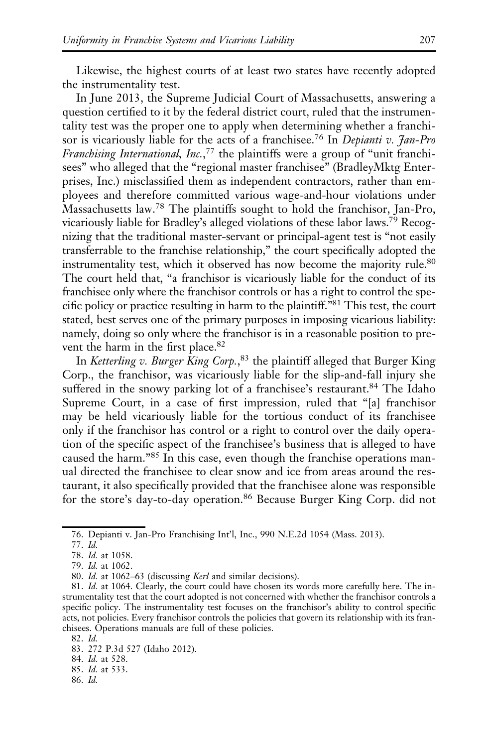Likewise, the highest courts of at least two states have recently adopted the instrumentality test.

In June 2013, the Supreme Judicial Court of Massachusetts, answering a question certified to it by the federal district court, ruled that the instrumentality test was the proper one to apply when determining whether a franchisor is vicariously liable for the acts of a franchisee.<sup>76</sup> In Depianti v. Jan-Pro Franchising International, Inc.,<sup>77</sup> the plaintiffs were a group of "unit franchisees" who alleged that the "regional master franchisee" (BradleyMktg Enterprises, Inc.) misclassified them as independent contractors, rather than employees and therefore committed various wage-and-hour violations under Massachusetts law.<sup>78</sup> The plaintiffs sought to hold the franchisor, Jan-Pro, vicariously liable for Bradley's alleged violations of these labor laws.79 Recognizing that the traditional master-servant or principal-agent test is "not easily transferrable to the franchise relationship," the court specifically adopted the instrumentality test, which it observed has now become the majority rule.<sup>80</sup> The court held that, "a franchisor is vicariously liable for the conduct of its franchisee only where the franchisor controls or has a right to control the specific policy or practice resulting in harm to the plaintiff."81 This test, the court stated, best serves one of the primary purposes in imposing vicarious liability: namely, doing so only where the franchisor is in a reasonable position to prevent the harm in the first place.<sup>82</sup>

In Ketterling v. Burger King Corp.,<sup>83</sup> the plaintiff alleged that Burger King Corp., the franchisor, was vicariously liable for the slip-and-fall injury she suffered in the snowy parking lot of a franchisee's restaurant.<sup>84</sup> The Idaho Supreme Court, in a case of first impression, ruled that "[a] franchisor may be held vicariously liable for the tortious conduct of its franchisee only if the franchisor has control or a right to control over the daily operation of the specific aspect of the franchisee's business that is alleged to have caused the harm."<sup>85</sup> In this case, even though the franchise operations manual directed the franchisee to clear snow and ice from areas around the restaurant, it also specifically provided that the franchisee alone was responsible for the store's day-to-day operation.<sup>86</sup> Because Burger King Corp. did not

86. Id.

<sup>76.</sup> Depianti v. Jan-Pro Franchising Int'l, Inc., 990 N.E.2d 1054 (Mass. 2013).

<sup>77.</sup> Id.

<sup>78.</sup> Id. at 1058.

<sup>79.</sup> Id. at 1062.

<sup>80.</sup> Id. at 1062–63 (discussing Kerl and similar decisions).

<sup>81.</sup> Id. at 1064. Clearly, the court could have chosen its words more carefully here. The instrumentality test that the court adopted is not concerned with whether the franchisor controls a specific policy. The instrumentality test focuses on the franchisor's ability to control specific acts, not policies. Every franchisor controls the policies that govern its relationship with its franchisees. Operations manuals are full of these policies.

<sup>82.</sup> Id.

<sup>83. 272</sup> P.3d 527 (Idaho 2012).

<sup>84.</sup> Id. at 528.

<sup>85.</sup> Id. at 533.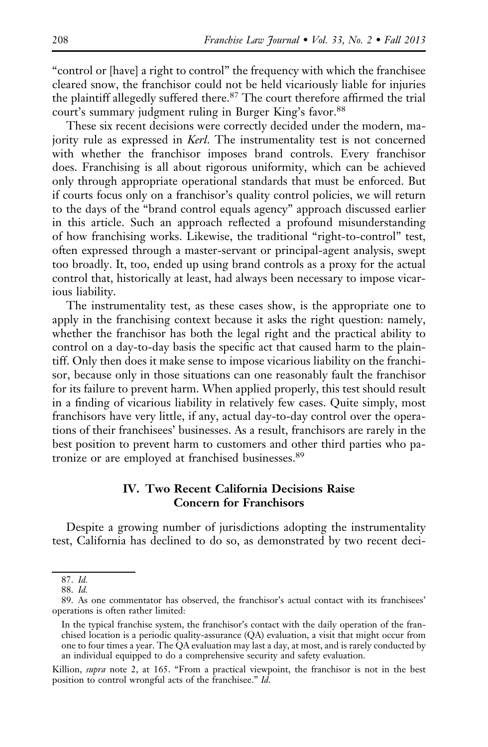"control or [have] a right to control" the frequency with which the franchisee cleared snow, the franchisor could not be held vicariously liable for injuries the plaintiff allegedly suffered there.<sup>87</sup> The court therefore affirmed the trial court's summary judgment ruling in Burger King's favor.<sup>88</sup>

These six recent decisions were correctly decided under the modern, majority rule as expressed in Kerl. The instrumentality test is not concerned with whether the franchisor imposes brand controls. Every franchisor does. Franchising is all about rigorous uniformity, which can be achieved only through appropriate operational standards that must be enforced. But if courts focus only on a franchisor's quality control policies, we will return to the days of the "brand control equals agency" approach discussed earlier in this article. Such an approach reflected a profound misunderstanding of how franchising works. Likewise, the traditional "right-to-control" test, often expressed through a master-servant or principal-agent analysis, swept too broadly. It, too, ended up using brand controls as a proxy for the actual control that, historically at least, had always been necessary to impose vicarious liability.

The instrumentality test, as these cases show, is the appropriate one to apply in the franchising context because it asks the right question: namely, whether the franchisor has both the legal right and the practical ability to control on a day-to-day basis the specific act that caused harm to the plaintiff. Only then does it make sense to impose vicarious liability on the franchisor, because only in those situations can one reasonably fault the franchisor for its failure to prevent harm. When applied properly, this test should result in a finding of vicarious liability in relatively few cases. Quite simply, most franchisors have very little, if any, actual day-to-day control over the operations of their franchisees' businesses. As a result, franchisors are rarely in the best position to prevent harm to customers and other third parties who patronize or are employed at franchised businesses.<sup>89</sup>

# IV. Two Recent California Decisions Raise Concern for Franchisors

Despite a growing number of jurisdictions adopting the instrumentality test, California has declined to do so, as demonstrated by two recent deci-

Killion, supra note 2, at 165. "From a practical viewpoint, the franchisor is not in the best position to control wrongful acts of the franchisee." Id.

<sup>87.</sup> Id.

<sup>88.</sup> Id.

<sup>89.</sup> As one commentator has observed, the franchisor's actual contact with its franchisees' operations is often rather limited:

In the typical franchise system, the franchisor's contact with the daily operation of the franchised location is a periodic quality-assurance (QA) evaluation, a visit that might occur from one to four times a year. The QA evaluation may last a day, at most, and is rarely conducted by an individual equipped to do a comprehensive security and safety evaluation.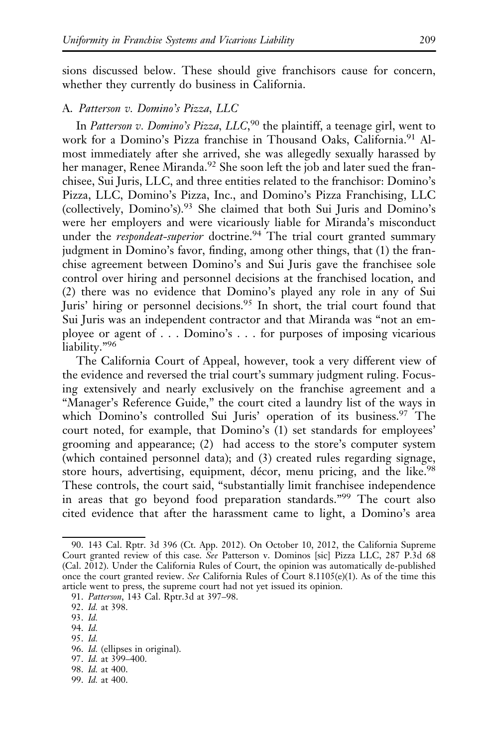sions discussed below. These should give franchisors cause for concern, whether they currently do business in California.

### A. Patterson v. Domino's Pizza, LLC

In Patterson v. Domino's Pizza, LLC,<sup>90</sup> the plaintiff, a teenage girl, went to work for a Domino's Pizza franchise in Thousand Oaks, California.<sup>91</sup> Almost immediately after she arrived, she was allegedly sexually harassed by her manager, Renee Miranda.<sup>92</sup> She soon left the job and later sued the franchisee, Sui Juris, LLC, and three entities related to the franchisor: Domino's Pizza, LLC, Domino's Pizza, Inc., and Domino's Pizza Franchising, LLC (collectively, Domino's).<sup>93</sup> She claimed that both Sui Juris and Domino's were her employers and were vicariously liable for Miranda's misconduct under the *respondeat-superior* doctrine.<sup>94</sup> The trial court granted summary judgment in Domino's favor, finding, among other things, that (1) the franchise agreement between Domino's and Sui Juris gave the franchisee sole control over hiring and personnel decisions at the franchised location, and (2) there was no evidence that Domino's played any role in any of Sui Juris' hiring or personnel decisions.<sup>95</sup> In short, the trial court found that Sui Juris was an independent contractor and that Miranda was "not an employee or agent of . . . Domino's . . . for purposes of imposing vicarious liability."96

The California Court of Appeal, however, took a very different view of the evidence and reversed the trial court's summary judgment ruling. Focusing extensively and nearly exclusively on the franchise agreement and a "Manager's Reference Guide," the court cited a laundry list of the ways in which Domino's controlled Sui Juris' operation of its business.<sup>97</sup> The court noted, for example, that Domino's (1) set standards for employees' grooming and appearance; (2) had access to the store's computer system (which contained personnel data); and (3) created rules regarding signage, store hours, advertising, equipment, décor, menu pricing, and the like.<sup>98</sup> These controls, the court said, "substantially limit franchisee independence in areas that go beyond food preparation standards."99 The court also cited evidence that after the harassment came to light, a Domino's area

94. Id.

- 98. Id. at 400.
- 99. Id. at 400.

<sup>90. 143</sup> Cal. Rptr. 3d 396 (Ct. App. 2012). On October 10, 2012, the California Supreme Court granted review of this case. See Patterson v. Dominos [sic] Pizza LLC, 287 P.3d 68 (Cal. 2012). Under the California Rules of Court, the opinion was automatically de-published once the court granted review. See California Rules of Court 8.1105(e)(1). As of the time this article went to press, the supreme court had not yet issued its opinion.

<sup>91.</sup> Patterson, 143 Cal. Rptr.3d at 397–98.

<sup>92.</sup> Id. at 398.

<sup>93.</sup> Id.

<sup>95.</sup> Id.

<sup>96.</sup> Id. (ellipses in original).

<sup>97.</sup> Id. at 399–400.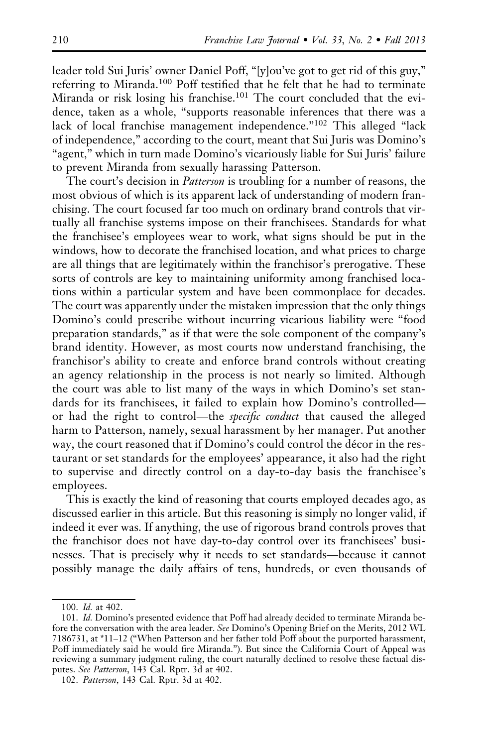leader told Sui Juris' owner Daniel Poff, "[y]ou've got to get rid of this guy," referring to Miranda.<sup>100</sup> Poff testified that he felt that he had to terminate Miranda or risk losing his franchise.<sup>101</sup> The court concluded that the evidence, taken as a whole, "supports reasonable inferences that there was a lack of local franchise management independence."<sup>102</sup> This alleged "lack of independence," according to the court, meant that Sui Juris was Domino's "agent," which in turn made Domino's vicariously liable for Sui Juris' failure to prevent Miranda from sexually harassing Patterson.

The court's decision in *Patterson* is troubling for a number of reasons, the most obvious of which is its apparent lack of understanding of modern franchising. The court focused far too much on ordinary brand controls that virtually all franchise systems impose on their franchisees. Standards for what the franchisee's employees wear to work, what signs should be put in the windows, how to decorate the franchised location, and what prices to charge are all things that are legitimately within the franchisor's prerogative. These sorts of controls are key to maintaining uniformity among franchised locations within a particular system and have been commonplace for decades. The court was apparently under the mistaken impression that the only things Domino's could prescribe without incurring vicarious liability were "food preparation standards," as if that were the sole component of the company's brand identity. However, as most courts now understand franchising, the franchisor's ability to create and enforce brand controls without creating an agency relationship in the process is not nearly so limited. Although the court was able to list many of the ways in which Domino's set standards for its franchisees, it failed to explain how Domino's controlled or had the right to control—the specific conduct that caused the alleged harm to Patterson, namely, sexual harassment by her manager. Put another way, the court reasoned that if Domino's could control the décor in the restaurant or set standards for the employees' appearance, it also had the right to supervise and directly control on a day-to-day basis the franchisee's employees.

This is exactly the kind of reasoning that courts employed decades ago, as discussed earlier in this article. But this reasoning is simply no longer valid, if indeed it ever was. If anything, the use of rigorous brand controls proves that the franchisor does not have day-to-day control over its franchisees' businesses. That is precisely why it needs to set standards—because it cannot possibly manage the daily affairs of tens, hundreds, or even thousands of

<sup>100.</sup> Id. at 402.

<sup>101.</sup> Id. Domino's presented evidence that Poff had already decided to terminate Miranda before the conversation with the area leader. See Domino's Opening Brief on the Merits, 2012 WL 7186731, at \*11–12 ("When Patterson and her father told Poff about the purported harassment, Poff immediately said he would fire Miranda."). But since the California Court of Appeal was reviewing a summary judgment ruling, the court naturally declined to resolve these factual disputes. See Patterson, 143 Cal. Rptr. 3d at 402.

<sup>102.</sup> Patterson, 143 Cal. Rptr. 3d at 402.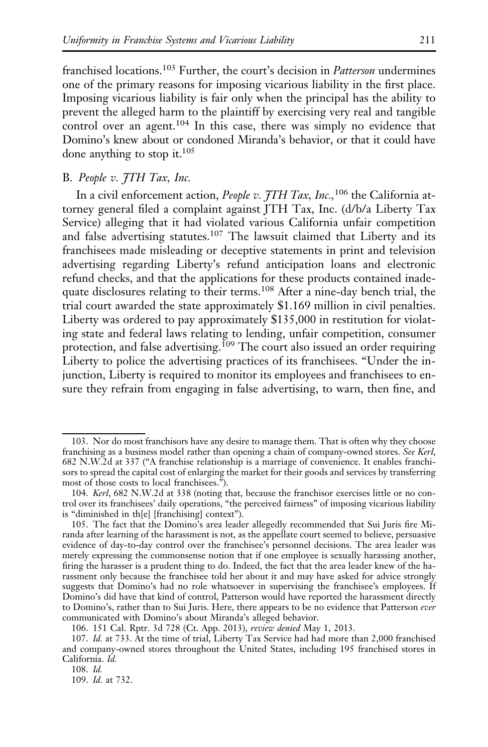franchised locations.<sup>103</sup> Further, the court's decision in Patterson undermines one of the primary reasons for imposing vicarious liability in the first place. Imposing vicarious liability is fair only when the principal has the ability to prevent the alleged harm to the plaintiff by exercising very real and tangible control over an agent.<sup>104</sup> In this case, there was simply no evidence that Domino's knew about or condoned Miranda's behavior, or that it could have done anything to stop it.<sup>105</sup>

# B. People v. *JTH Tax*, Inc.

In a civil enforcement action, People v.  $\tilde{\tau}$ TH Tax, Inc.,<sup>106</sup> the California attorney general filed a complaint against JTH Tax, Inc. (d/b/a Liberty Tax Service) alleging that it had violated various California unfair competition and false advertising statutes.<sup>107</sup> The lawsuit claimed that Liberty and its franchisees made misleading or deceptive statements in print and television advertising regarding Liberty's refund anticipation loans and electronic refund checks, and that the applications for these products contained inadequate disclosures relating to their terms.<sup>108</sup> After a nine-day bench trial, the trial court awarded the state approximately \$1.169 million in civil penalties. Liberty was ordered to pay approximately \$135,000 in restitution for violating state and federal laws relating to lending, unfair competition, consumer protection, and false advertising.<sup>109</sup> The court also issued an order requiring Liberty to police the advertising practices of its franchisees. "Under the injunction, Liberty is required to monitor its employees and franchisees to ensure they refrain from engaging in false advertising, to warn, then fine, and

<sup>103.</sup> Nor do most franchisors have any desire to manage them. That is often why they choose franchising as a business model rather than opening a chain of company-owned stores. See Kerl, 682 N.W.2d at 337 ("A franchise relationship is a marriage of convenience. It enables franchisors to spread the capital cost of enlarging the market for their goods and services by transferring most of those costs to local franchisees.").

<sup>104.</sup> Kerl, 682 N.W.2d at 338 (noting that, because the franchisor exercises little or no control over its franchisees' daily operations, "the perceived fairness" of imposing vicarious liability is "diminished in th[e] [franchising] context").

<sup>105.</sup> The fact that the Domino's area leader allegedly recommended that Sui Juris fire Miranda after learning of the harassment is not, as the appellate court seemed to believe, persuasive evidence of day-to-day control over the franchisee's personnel decisions. The area leader was merely expressing the commonsense notion that if one employee is sexually harassing another, firing the harasser is a prudent thing to do. Indeed, the fact that the area leader knew of the harassment only because the franchisee told her about it and may have asked for advice strongly suggests that Domino's had no role whatsoever in supervising the franchisee's employees. If Domino's did have that kind of control, Patterson would have reported the harassment directly to Domino's, rather than to Sui Juris. Here, there appears to be no evidence that Patterson ever communicated with Domino's about Miranda's alleged behavior.

<sup>106. 151</sup> Cal. Rptr. 3d 728 (Ct. App. 2013), review denied May 1, 2013.

<sup>107.</sup> Id. at 733. At the time of trial, Liberty Tax Service had had more than 2,000 franchised and company-owned stores throughout the United States, including 195 franchised stores in California. Id.

<sup>108.</sup> Id.

<sup>109.</sup> Id. at 732.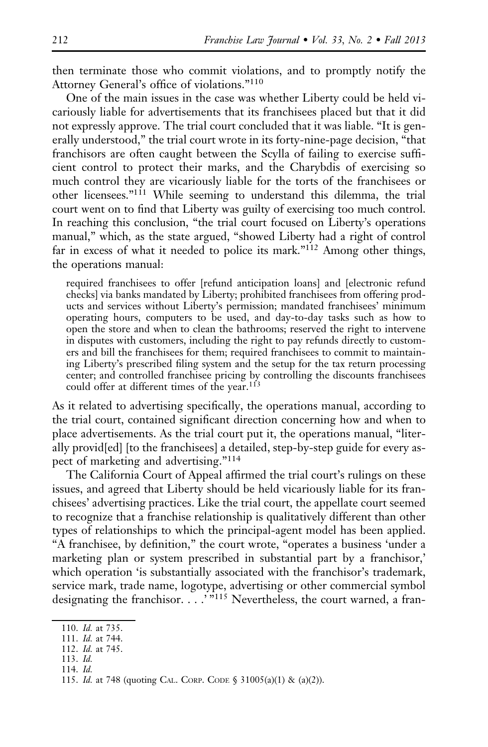then terminate those who commit violations, and to promptly notify the Attorney General's office of violations."<sup>110</sup>

One of the main issues in the case was whether Liberty could be held vicariously liable for advertisements that its franchisees placed but that it did not expressly approve. The trial court concluded that it was liable. "It is generally understood," the trial court wrote in its forty-nine-page decision, "that franchisors are often caught between the Scylla of failing to exercise sufficient control to protect their marks, and the Charybdis of exercising so much control they are vicariously liable for the torts of the franchisees or other licensees."111 While seeming to understand this dilemma, the trial court went on to find that Liberty was guilty of exercising too much control. In reaching this conclusion, "the trial court focused on Liberty's operations manual," which, as the state argued, "showed Liberty had a right of control far in excess of what it needed to police its mark."<sup>112</sup> Among other things, the operations manual:

required franchisees to offer [refund anticipation loans] and [electronic refund checks] via banks mandated by Liberty; prohibited franchisees from offering products and services without Liberty's permission; mandated franchisees' minimum operating hours, computers to be used, and day-to-day tasks such as how to open the store and when to clean the bathrooms; reserved the right to intervene in disputes with customers, including the right to pay refunds directly to customers and bill the franchisees for them; required franchisees to commit to maintaining Liberty's prescribed filing system and the setup for the tax return processing center; and controlled franchisee pricing by controlling the discounts franchisees could offer at different times of the year.<sup>113</sup>

As it related to advertising specifically, the operations manual, according to the trial court, contained significant direction concerning how and when to place advertisements. As the trial court put it, the operations manual, "literally provid[ed] [to the franchisees] a detailed, step-by-step guide for every aspect of marketing and advertising."<sup>114</sup>

The California Court of Appeal affirmed the trial court's rulings on these issues, and agreed that Liberty should be held vicariously liable for its franchisees' advertising practices. Like the trial court, the appellate court seemed to recognize that a franchise relationship is qualitatively different than other types of relationships to which the principal-agent model has been applied. "A franchisee, by definition," the court wrote, "operates a business 'under a marketing plan or system prescribed in substantial part by a franchisor,' which operation 'is substantially associated with the franchisor's trademark, service mark, trade name, logotype, advertising or other commercial symbol designating the franchisor. . . . ""<sup>115</sup> Nevertheless, the court warned, a fran-

113. Id.

<sup>110.</sup> Id. at 735.

<sup>111.</sup> Id. at 744.

<sup>112.</sup> Id. at 745.

<sup>114.</sup> Id.

<sup>115.</sup> Id. at 748 (quoting CAL. CORP. CODE § 31005(a)(1) & (a)(2)).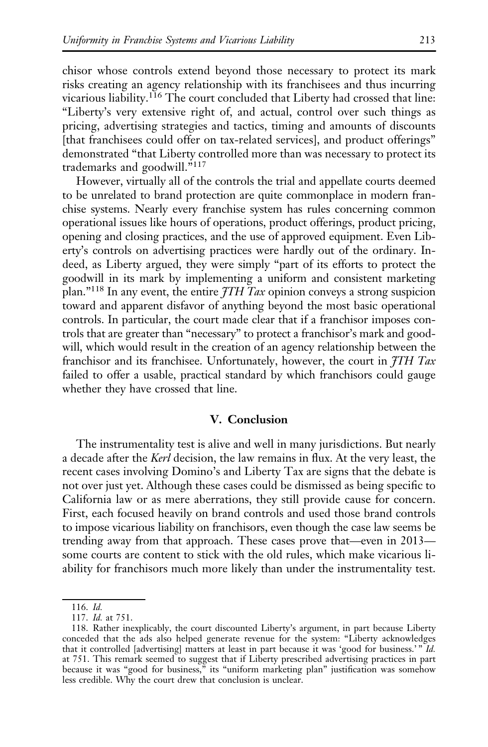chisor whose controls extend beyond those necessary to protect its mark risks creating an agency relationship with its franchisees and thus incurring vicarious liability.<sup>116</sup> The court concluded that Liberty had crossed that line: "Liberty's very extensive right of, and actual, control over such things as pricing, advertising strategies and tactics, timing and amounts of discounts [that franchisees could offer on tax-related services], and product offerings" demonstrated "that Liberty controlled more than was necessary to protect its trademarks and goodwill."<sup>117</sup>

However, virtually all of the controls the trial and appellate courts deemed to be unrelated to brand protection are quite commonplace in modern franchise systems. Nearly every franchise system has rules concerning common operational issues like hours of operations, product offerings, product pricing, opening and closing practices, and the use of approved equipment. Even Liberty's controls on advertising practices were hardly out of the ordinary. Indeed, as Liberty argued, they were simply "part of its efforts to protect the goodwill in its mark by implementing a uniform and consistent marketing plan."<sup>118</sup> In any event, the entire  $\tilde{\mathcal{I}}TH$  Tax opinion conveys a strong suspicion toward and apparent disfavor of anything beyond the most basic operational controls. In particular, the court made clear that if a franchisor imposes controls that are greater than "necessary" to protect a franchisor's mark and goodwill, which would result in the creation of an agency relationship between the franchisor and its franchisee. Unfortunately, however, the court in  $\tilde{f}TH$  Tax failed to offer a usable, practical standard by which franchisors could gauge whether they have crossed that line.

### V. Conclusion

The instrumentality test is alive and well in many jurisdictions. But nearly a decade after the Kerl decision, the law remains in flux. At the very least, the recent cases involving Domino's and Liberty Tax are signs that the debate is not over just yet. Although these cases could be dismissed as being specific to California law or as mere aberrations, they still provide cause for concern. First, each focused heavily on brand controls and used those brand controls to impose vicarious liability on franchisors, even though the case law seems be trending away from that approach. These cases prove that—even in 2013 some courts are content to stick with the old rules, which make vicarious liability for franchisors much more likely than under the instrumentality test.

<sup>116.</sup> Id.

<sup>117.</sup> Id. at 751.

<sup>118.</sup> Rather inexplicably, the court discounted Liberty's argument, in part because Liberty conceded that the ads also helped generate revenue for the system: "Liberty acknowledges that it controlled [advertising] matters at least in part because it was 'good for business.' " Id. at 751. This remark seemed to suggest that if Liberty prescribed advertising practices in part because it was "good for business," its "uniform marketing plan" justification was somehow less credible. Why the court drew that conclusion is unclear.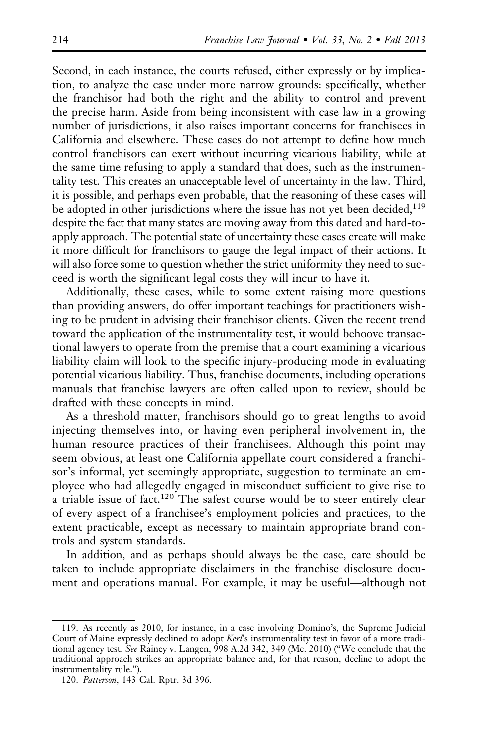Second, in each instance, the courts refused, either expressly or by implication, to analyze the case under more narrow grounds: specifically, whether the franchisor had both the right and the ability to control and prevent the precise harm. Aside from being inconsistent with case law in a growing number of jurisdictions, it also raises important concerns for franchisees in California and elsewhere. These cases do not attempt to define how much control franchisors can exert without incurring vicarious liability, while at the same time refusing to apply a standard that does, such as the instrumentality test. This creates an unacceptable level of uncertainty in the law. Third, it is possible, and perhaps even probable, that the reasoning of these cases will be adopted in other jurisdictions where the issue has not yet been decided,<sup>119</sup> despite the fact that many states are moving away from this dated and hard-toapply approach. The potential state of uncertainty these cases create will make it more difficult for franchisors to gauge the legal impact of their actions. It will also force some to question whether the strict uniformity they need to succeed is worth the significant legal costs they will incur to have it.

Additionally, these cases, while to some extent raising more questions than providing answers, do offer important teachings for practitioners wishing to be prudent in advising their franchisor clients. Given the recent trend toward the application of the instrumentality test, it would behoove transactional lawyers to operate from the premise that a court examining a vicarious liability claim will look to the specific injury-producing mode in evaluating potential vicarious liability. Thus, franchise documents, including operations manuals that franchise lawyers are often called upon to review, should be drafted with these concepts in mind.

As a threshold matter, franchisors should go to great lengths to avoid injecting themselves into, or having even peripheral involvement in, the human resource practices of their franchisees. Although this point may seem obvious, at least one California appellate court considered a franchisor's informal, yet seemingly appropriate, suggestion to terminate an employee who had allegedly engaged in misconduct sufficient to give rise to a triable issue of fact.<sup>120</sup> The safest course would be to steer entirely clear of every aspect of a franchisee's employment policies and practices, to the extent practicable, except as necessary to maintain appropriate brand controls and system standards.

In addition, and as perhaps should always be the case, care should be taken to include appropriate disclaimers in the franchise disclosure document and operations manual. For example, it may be useful—although not

<sup>119.</sup> As recently as 2010, for instance, in a case involving Domino's, the Supreme Judicial Court of Maine expressly declined to adopt Kerl's instrumentality test in favor of a more traditional agency test. See Rainey v. Langen, 998 A.2d 342, 349 (Me. 2010) ("We conclude that the traditional approach strikes an appropriate balance and, for that reason, decline to adopt the instrumentality rule.").

<sup>120.</sup> Patterson, 143 Cal. Rptr. 3d 396.